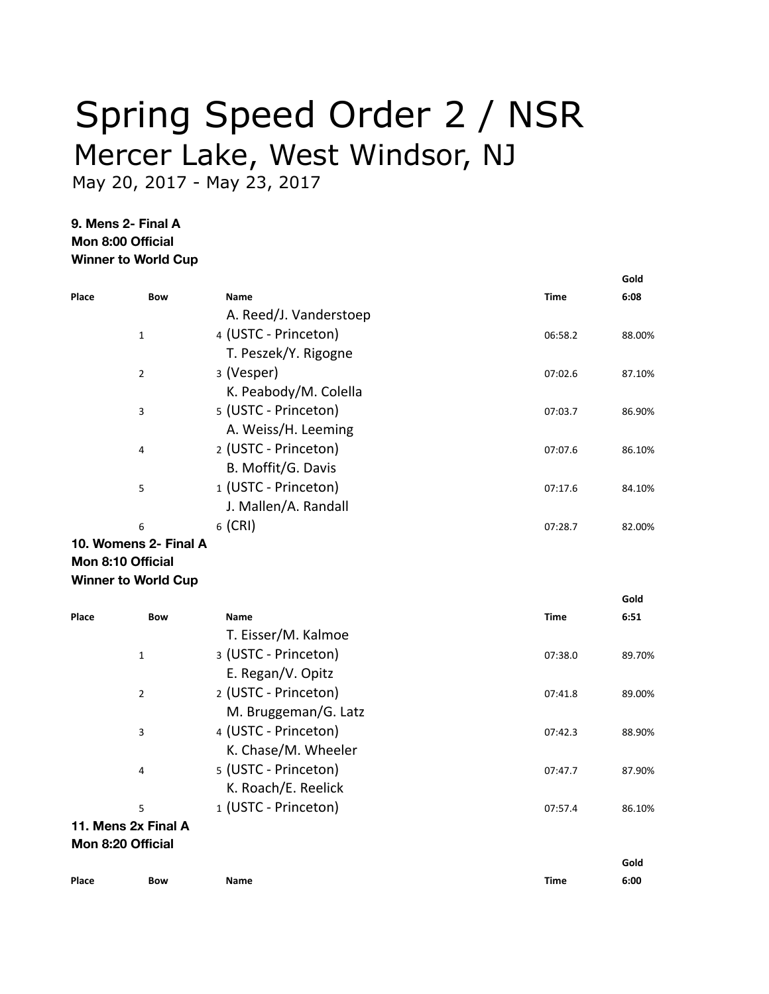## Spring Speed Order 2 / NSR Mercer Lake, West Windsor, NJ

May 20, 2017 - May 23, 2017

**9. Mens 2- Final A Mon 8:00 Official Winner to World Cup**

|       |                       |                        |             | Gold   |
|-------|-----------------------|------------------------|-------------|--------|
| Place | <b>Bow</b>            | <b>Name</b>            | <b>Time</b> | 6:08   |
|       |                       | A. Reed/J. Vanderstoep |             |        |
|       | 1                     | 4 (USTC - Princeton)   | 06:58.2     | 88.00% |
|       |                       | T. Peszek/Y. Rigogne   |             |        |
|       | $\overline{2}$        | 3 (Vesper)             | 07:02.6     | 87.10% |
|       |                       | K. Peabody/M. Colella  |             |        |
|       | 3                     | 5 (USTC - Princeton)   | 07:03.7     | 86.90% |
|       |                       | A. Weiss/H. Leeming    |             |        |
|       | 4                     | 2 (USTC - Princeton)   | 07:07.6     | 86.10% |
|       |                       | B. Moffit/G. Davis     |             |        |
|       | 5                     | 1 (USTC - Princeton)   | 07:17.6     | 84.10% |
|       |                       | J. Mallen/A. Randall   |             |        |
|       | 6                     | $6$ (CRI)              | 07:28.7     | 82.00% |
|       | 10. Womens 2- Final A |                        |             |        |
|       | 11. 0.40 Off. I       |                        |             |        |

**Mon 8:10 Official Winner to World Cup**

| Place               | <b>Bow</b> | <b>Name</b>          | Time    | 6:51   |
|---------------------|------------|----------------------|---------|--------|
|                     |            | T. Eisser/M. Kalmoe  |         |        |
| $\mathbf{1}$        |            | 3 (USTC - Princeton) | 07:38.0 | 89.70% |
|                     |            | E. Regan/V. Opitz    |         |        |
| $\overline{2}$      |            | 2 (USTC - Princeton) | 07:41.8 | 89.00% |
|                     |            | M. Bruggeman/G. Latz |         |        |
| 3                   |            | 4 (USTC - Princeton) | 07:42.3 | 88.90% |
|                     |            | K. Chase/M. Wheeler  |         |        |
| 4                   |            | 5 (USTC - Princeton) | 07:47.7 | 87.90% |
|                     |            | K. Roach/E. Reelick  |         |        |
| 5                   |            | 1 (USTC - Princeton) | 07:57.4 | 86.10% |
| 11. Mens 2x Final A |            |                      |         |        |
| Mon 8:20 Official   |            |                      |         |        |
|                     |            |                      |         | Gold   |

**Gold**

**6:00 Place Bow Name Time**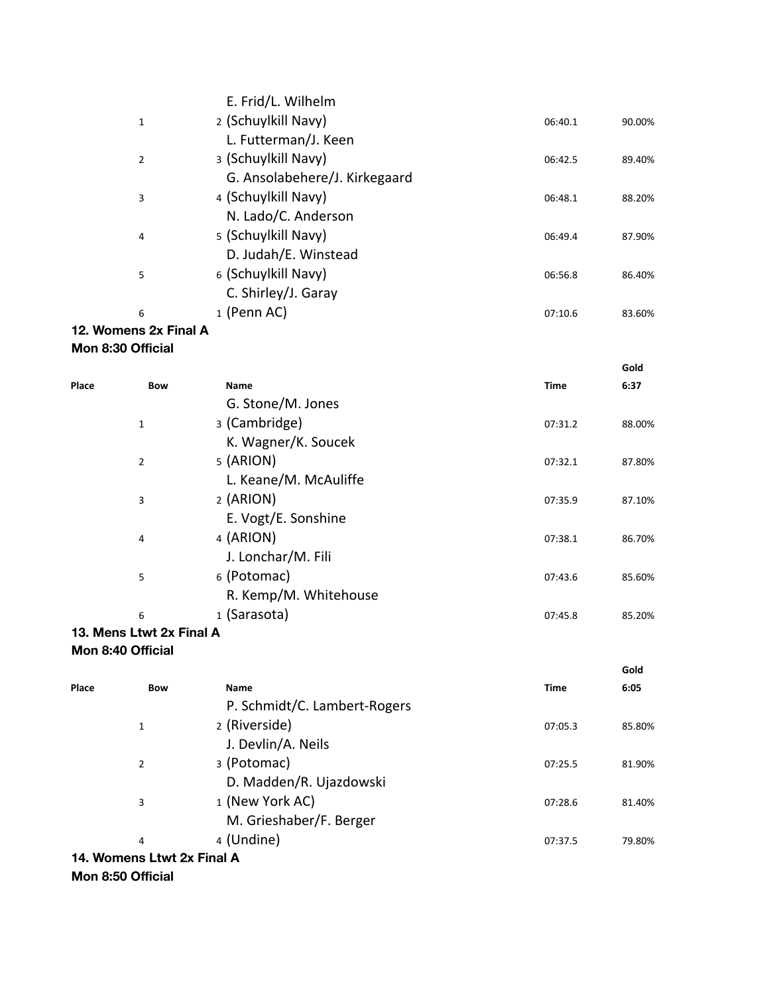|                       | E. Frid/L. Wilhelm            |         |        |
|-----------------------|-------------------------------|---------|--------|
| 1                     | 2 (Schuylkill Navy)           | 06:40.1 | 90.00% |
|                       | L. Futterman/J. Keen          |         |        |
| 2                     | 3 (Schuylkill Navy)           | 06:42.5 | 89.40% |
|                       | G. Ansolabehere/J. Kirkegaard |         |        |
| 3                     | 4 (Schuylkill Navy)           | 06:48.1 | 88.20% |
|                       | N. Lado/C. Anderson           |         |        |
| 4                     | 5 (Schuylkill Navy)           | 06:49.4 | 87.90% |
|                       | D. Judah/E. Winstead          |         |        |
| 5                     | 6 (Schuylkill Navy)           | 06:56.8 | 86.40% |
|                       | C. Shirley/J. Garay           |         |        |
| 6                     | 1 (Penn AC)                   | 07:10.6 | 83.60% |
| 12. Womens 2x Final A |                               |         |        |

## **Mon 8:30 Official**

|       |                            |                       |             | Gold   |
|-------|----------------------------|-----------------------|-------------|--------|
| Place | <b>Bow</b>                 | <b>Name</b>           | <b>Time</b> | 6:37   |
|       |                            | G. Stone/M. Jones     |             |        |
|       | 1                          | 3 (Cambridge)         | 07:31.2     | 88.00% |
|       |                            | K. Wagner/K. Soucek   |             |        |
|       | 2                          | 5 (ARION)             | 07:32.1     | 87.80% |
|       |                            | L. Keane/M. McAuliffe |             |        |
|       | 3                          | 2 (ARION)             | 07:35.9     | 87.10% |
|       |                            | E. Vogt/E. Sonshine   |             |        |
|       | 4                          | 4 (ARION)             | 07:38.1     | 86.70% |
|       |                            | J. Lonchar/M. Fili    |             |        |
|       | 5                          | 6 (Potomac)           | 07:43.6     | 85.60% |
|       |                            | R. Kemp/M. Whitehouse |             |        |
|       | 6                          | 1 (Sarasota)          | 07:45.8     | 85.20% |
|       | $M = 1 + 1 - 10$ . Final A |                       |             |        |

## **13. Mens Ltwt 2x Final A Mon 8:40 Official**

| Gold   |
|--------|
| 6:05   |
|        |
| 85.80% |
|        |
| 81.90% |
|        |
| 81.40% |
|        |
| 79.80% |
|        |
|        |

## **Mon 8:50 Official**